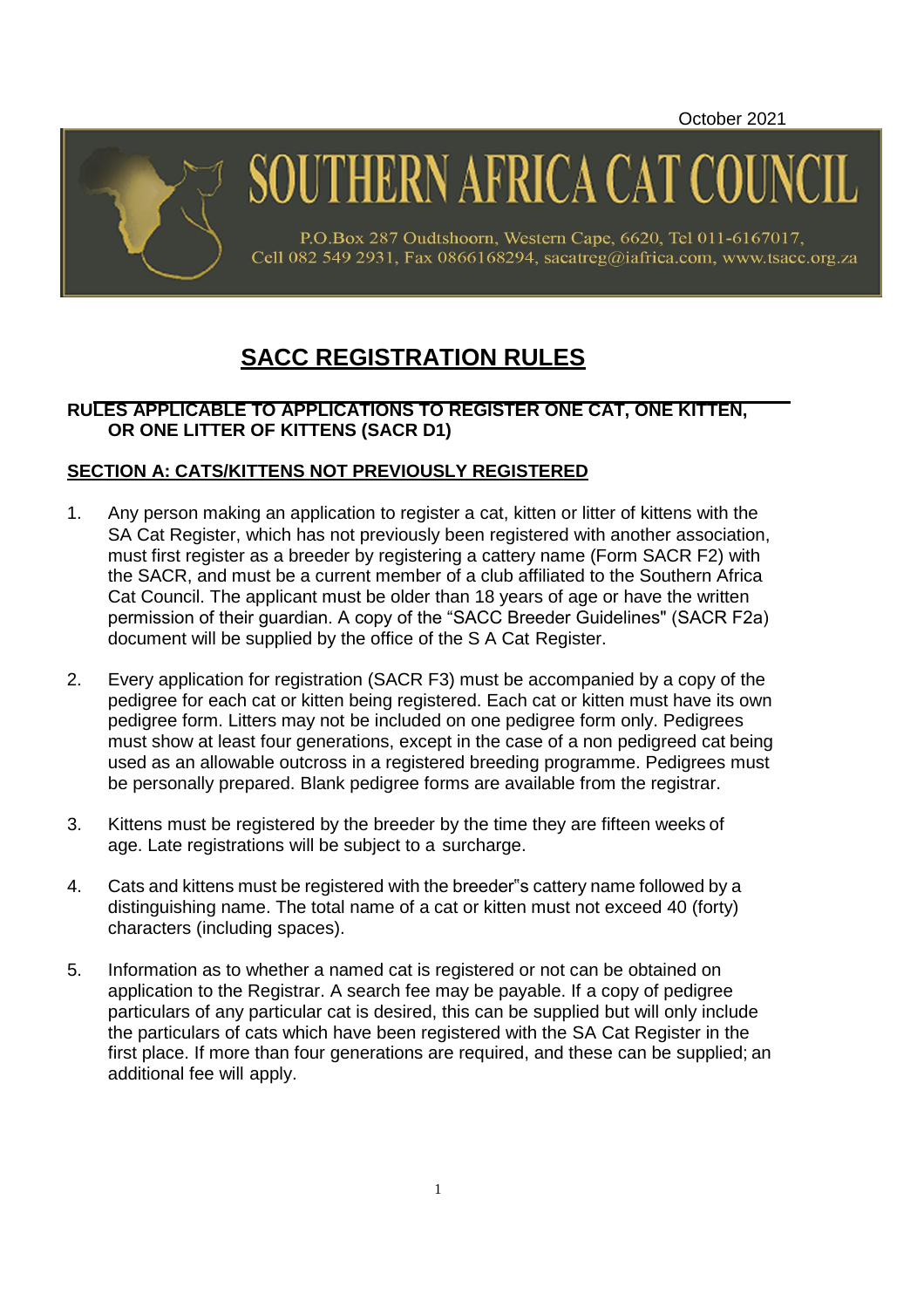October 2021



SOUTHERN AFRICA CAT COU

P.O.Box 287 Oudtshoorn, Western Cape, 6620, Tel 011-6167017, Cell 082 549 2931, Fax 0866168294, sacatreg@iafrica.com, www.tsacc.org.za

# **SACC REGISTRATION RULES**

## **RULES APPLICABLE TO APPLICATIONS TO REGISTER ONE CAT, ONE KITTEN, OR ONE LITTER OF KITTENS (SACR D1)**

# **SECTION A: CATS/KITTENS NOT PREVIOUSLY REGISTERED**

- 1. Any person making an application to register a cat, kitten or litter of kittens with the SA Cat Register, which has not previously been registered with another association, must first register as a breeder by registering a cattery name (Form SACR F2) with the SACR, and must be a current member of a club affiliated to the Southern Africa Cat Council. The applicant must be older than 18 years of age or have the written permission of their guardian. A copy of the "SACC Breeder Guidelines" (SACR F2a) document will be supplied by the office of the S A Cat Register.
- 2. Every application for registration (SACR F3) must be accompanied by a copy of the pedigree for each cat or kitten being registered. Each cat or kitten must have its own pedigree form. Litters may not be included on one pedigree form only. Pedigrees must show at least four generations, except in the case of a non pedigreed cat being used as an allowable outcross in a registered breeding programme. Pedigrees must be personally prepared. Blank pedigree forms are available from the registrar.
- 3. Kittens must be registered by the breeder by the time they are fifteen weeks of age. Late registrations will be subject to a surcharge.
- 4. Cats and kittens must be registered with the breeder"s cattery name followed by a distinguishing name. The total name of a cat or kitten must not exceed 40 (forty) characters (including spaces).
- 5. Information as to whether a named cat is registered or not can be obtained on application to the Registrar. A search fee may be payable. If a copy of pedigree particulars of any particular cat is desired, this can be supplied but will only include the particulars of cats which have been registered with the SA Cat Register in the first place. If more than four generations are required, and these can be supplied; an additional fee will apply.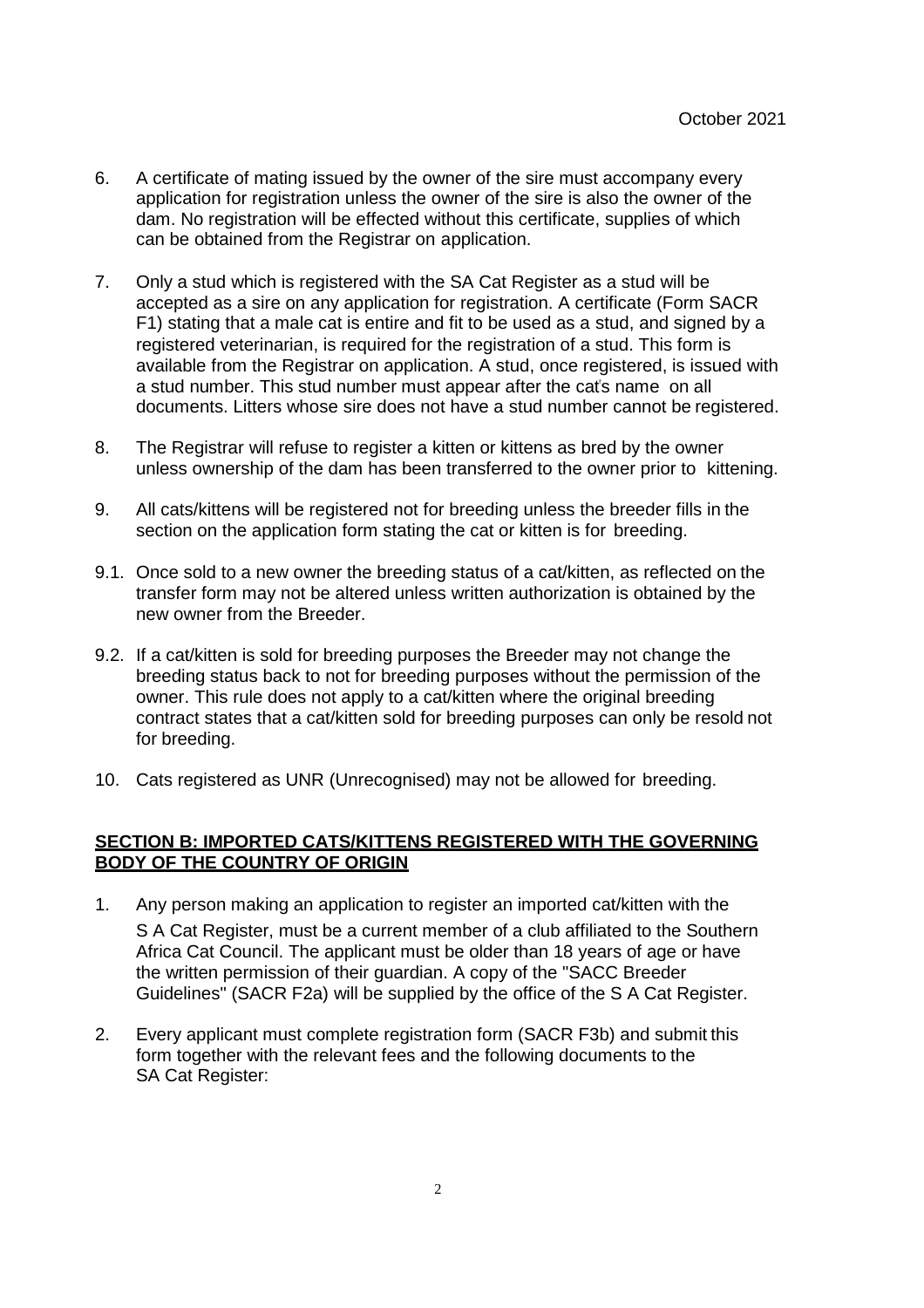- 6. A certificate of mating issued by the owner of the sire must accompany every application for registration unless the owner of the sire is also the owner of the dam. No registration will be effected without this certificate, supplies of which can be obtained from the Registrar on application.
- 7. Only a stud which is registered with the SA Cat Register as a stud will be accepted as a sire on any application for registration. A certificate (Form SACR F1) stating that a male cat is entire and fit to be used as a stud, and signed by a registered veterinarian, is required for the registration of a stud. This form is available from the Registrar on application. A stud, once registered, is issued with a stud number. This stud number must appear after the cat's name on all documents. Litters whose sire does not have a stud number cannot be registered.
- 8. The Registrar will refuse to register a kitten or kittens as bred by the owner unless ownership of the dam has been transferred to the owner prior to kittening.
- 9. All cats/kittens will be registered not for breeding unless the breeder fills in the section on the application form stating the cat or kitten is for breeding.
- 9.1. Once sold to a new owner the breeding status of a cat/kitten, as reflected on the transfer form may not be altered unless written authorization is obtained by the new owner from the Breeder.
- 9.2. If a cat/kitten is sold for breeding purposes the Breeder may not change the breeding status back to not for breeding purposes without the permission of the owner. This rule does not apply to a cat/kitten where the original breeding contract states that a cat/kitten sold for breeding purposes can only be resold not for breeding.
- 10. Cats registered as UNR (Unrecognised) may not be allowed for breeding.

#### **SECTION B: IMPORTED CATS/KITTENS REGISTERED WITH THE GOVERNING BODY OF THE COUNTRY OF ORIGIN**

- 1. Any person making an application to register an imported cat/kitten with the S A Cat Register, must be a current member of a club affiliated to the Southern Africa Cat Council. The applicant must be older than 18 years of age or have the written permission of their guardian. A copy of the "SACC Breeder Guidelines" (SACR F2a) will be supplied by the office of the S A Cat Register.
- 2. Every applicant must complete registration form (SACR F3b) and submit this form together with the relevant fees and the following documents to the SA Cat Register: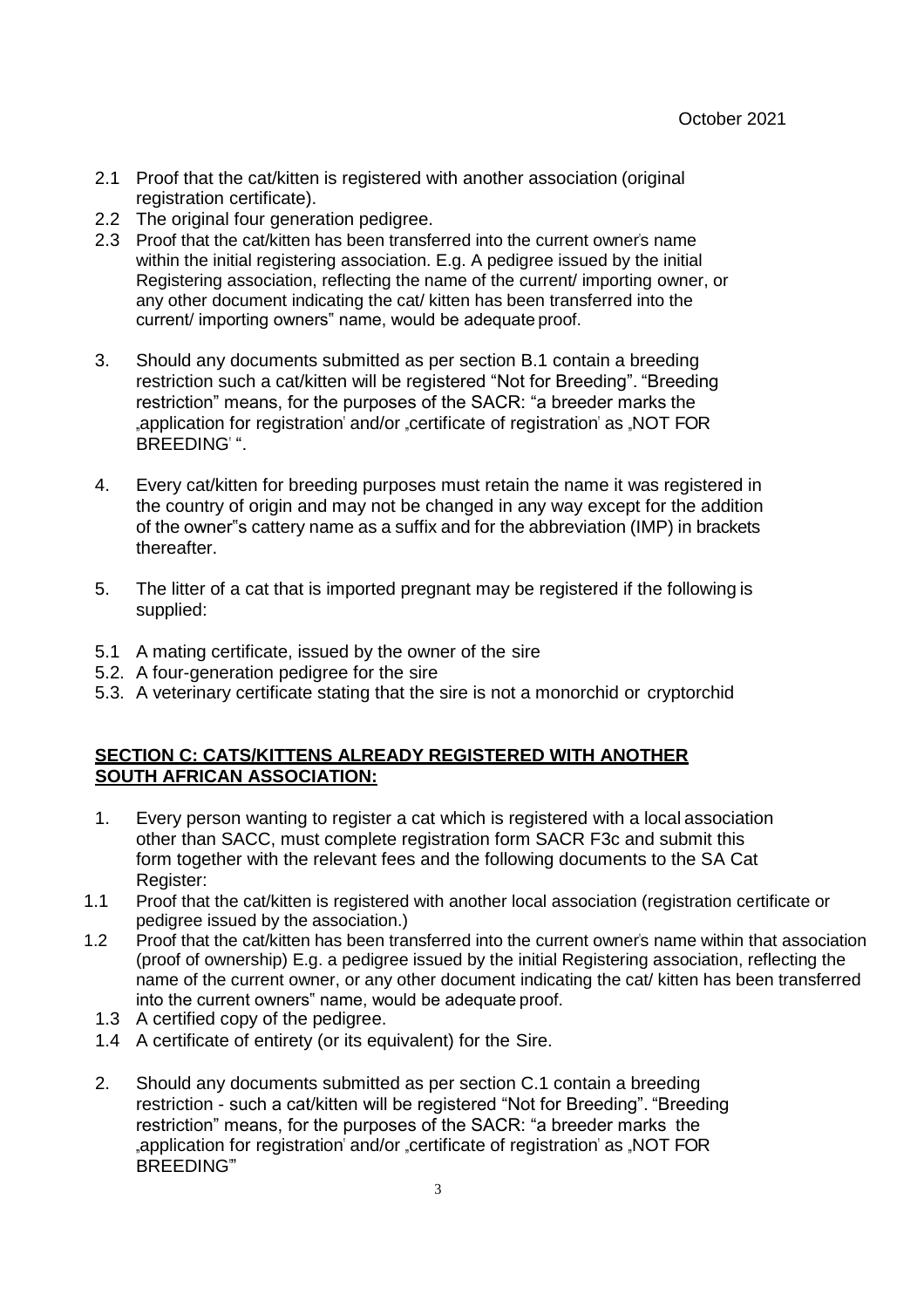- 2.1 Proof that the cat/kitten is registered with another association (original registration certificate).
- 2.2 The original four generation pedigree.
- 2.3 Proof that the cat/kitten has been transferred into the current owner's name within the initial registering association. E.g. A pedigree issued by the initial Registering association, reflecting the name of the current/ importing owner, or any other document indicating the cat/ kitten has been transferred into the current/ importing owners" name, would be adequate proof.
- 3. Should any documents submitted as per section B.1 contain a breeding restriction such a cat/kitten will be registered "Not for Breeding". "Breeding restriction" means, for the purposes of the SACR: "a breeder marks the application for registration' and/or certificate of registration' as JNOT FOR BREEDING"
- 4. Every cat/kitten for breeding purposes must retain the name it was registered in the country of origin and may not be changed in any way except for the addition of the owner"s cattery name as a suffix and for the abbreviation (IMP) in brackets thereafter.
- 5. The litter of a cat that is imported pregnant may be registered if the following is supplied:
- 5.1 A mating certificate, issued by the owner of the sire
- 5.2. A four-generation pedigree for the sire
- 5.3. A veterinary certificate stating that the sire is not a monorchid or cryptorchid

## **SECTION C: CATS/KITTENS ALREADY REGISTERED WITH ANOTHER SOUTH AFRICAN ASSOCIATION:**

- 1. Every person wanting to register a cat which is registered with a local association other than SACC, must complete registration form SACR F3c and submit this form together with the relevant fees and the following documents to the SA Cat Register:
- 1.1 Proof that the cat/kitten is registered with another local association (registration certificate or pedigree issued by the association.)
- 1.2 Proof that the cat/kitten has been transferred into the current owner"s name within that association (proof of ownership) E.g. a pedigree issued by the initial Registering association, reflecting the name of the current owner, or any other document indicating the cat/ kitten has been transferred into the current owners" name, would be adequate proof.
	- 1.3 A certified copy of the pedigree.
	- 1.4 A certificate of entirety (or its equivalent) for the Sire.
	- 2. Should any documents submitted as per section C.1 contain a breeding restriction - such a cat/kitten will be registered "Not for Breeding". "Breeding restriction" means, for the purposes of the SACR: "a breeder marks the application for registration' and/or .certificate of registration' as .NOT FOR BREEDING""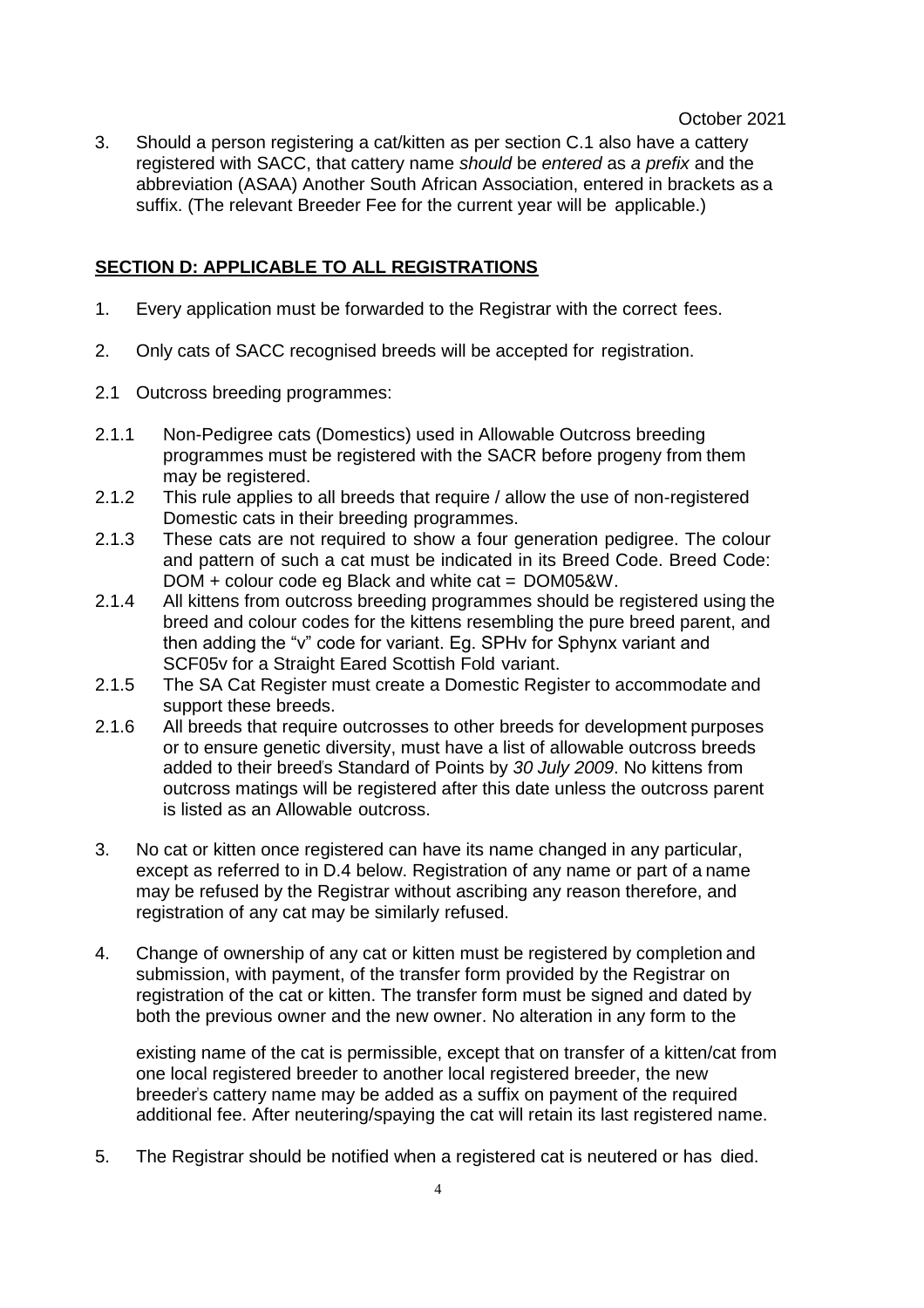October 2021

3. Should a person registering a cat/kitten as per section C.1 also have a cattery registered with SACC, that cattery name *should* be *entered* as *a prefix* and the abbreviation (ASAA) Another South African Association, entered in brackets as a suffix. (The relevant Breeder Fee for the current year will be applicable.)

## **SECTION D: APPLICABLE TO ALL REGISTRATIONS**

- 1. Every application must be forwarded to the Registrar with the correct fees.
- 2. Only cats of SACC recognised breeds will be accepted for registration.
- 2.1 Outcross breeding programmes:
- 2.1.1 Non-Pedigree cats (Domestics) used in Allowable Outcross breeding programmes must be registered with the SACR before progeny from them may be registered.
- 2.1.2 This rule applies to all breeds that require / allow the use of non-registered Domestic cats in their breeding programmes.
- 2.1.3 These cats are not required to show a four generation pedigree. The colour and pattern of such a cat must be indicated in its Breed Code. Breed Code: DOM + colour code eg Black and white cat = DOM05&W.
- 2.1.4 All kittens from outcross breeding programmes should be registered using the breed and colour codes for the kittens resembling the pure breed parent, and then adding the "v" code for variant. Eg. SPHv for Sphynx variant and SCF05v for a Straight Eared Scottish Fold variant.
- 2.1.5 The SA Cat Register must create a Domestic Register to accommodate and support these breeds.
- 2.1.6 All breeds that require outcrosses to other breeds for development purposes or to ensure genetic diversity, must have a list of allowable outcross breeds added to their breed"s Standard of Points by *30 July 2009*. No kittens from outcross matings will be registered after this date unless the outcross parent is listed as an Allowable outcross.
- 3. No cat or kitten once registered can have its name changed in any particular, except as referred to in D.4 below. Registration of any name or part of a name may be refused by the Registrar without ascribing any reason therefore, and registration of any cat may be similarly refused.
- 4. Change of ownership of any cat or kitten must be registered by completion and submission, with payment, of the transfer form provided by the Registrar on registration of the cat or kitten. The transfer form must be signed and dated by both the previous owner and the new owner. No alteration in any form to the

existing name of the cat is permissible, except that on transfer of a kitten/cat from one local registered breeder to another local registered breeder, the new breeder"s cattery name may be added as a suffix on payment of the required additional fee. After neutering/spaying the cat will retain its last registered name.

5. The Registrar should be notified when a registered cat is neutered or has died.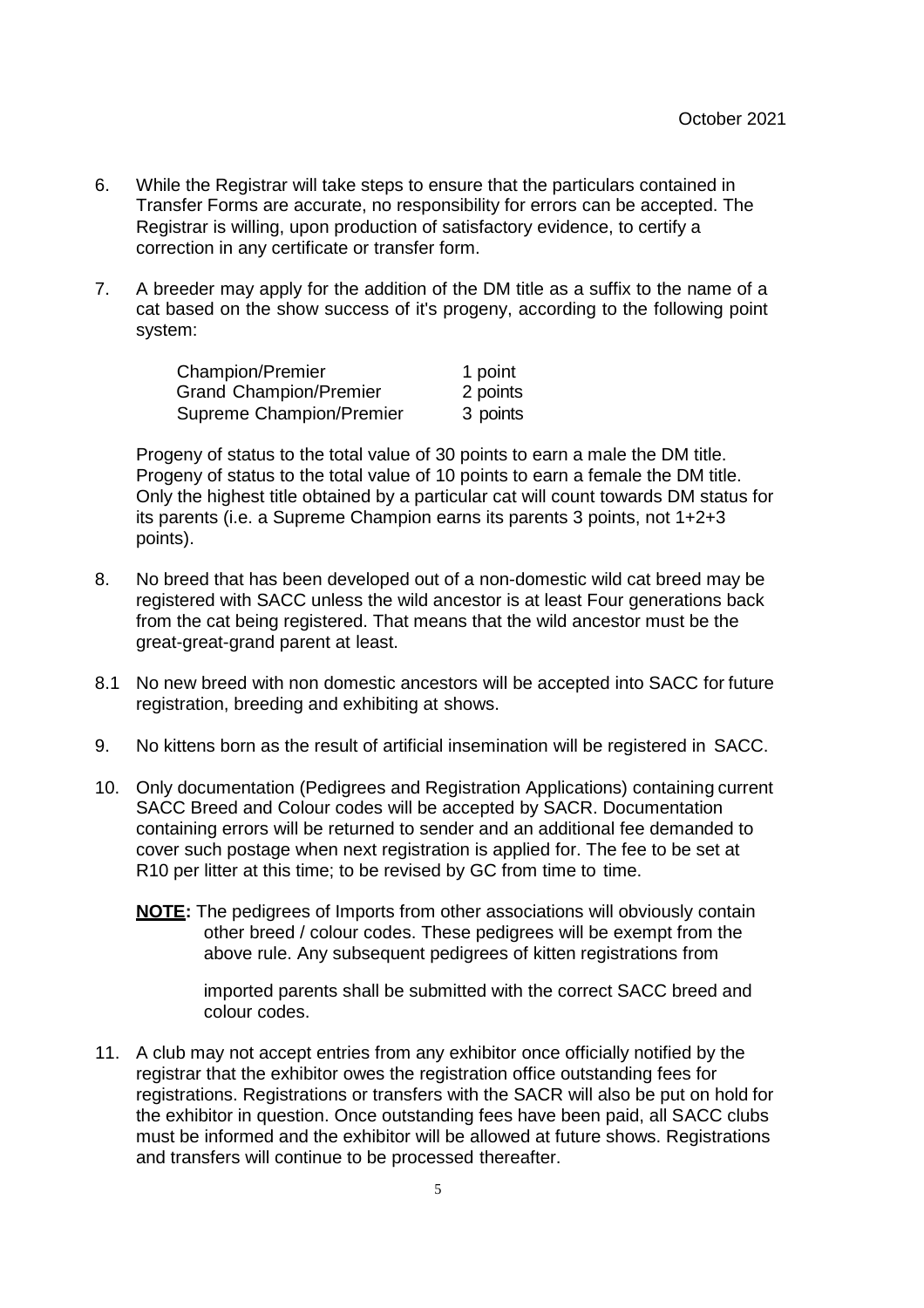- 6. While the Registrar will take steps to ensure that the particulars contained in Transfer Forms are accurate, no responsibility for errors can be accepted. The Registrar is willing, upon production of satisfactory evidence, to certify a correction in any certificate or transfer form.
- 7. A breeder may apply for the addition of the DM title as a suffix to the name of a cat based on the show success of it's progeny, according to the following point system:

| <b>Champion/Premier</b>       | 1 point  |
|-------------------------------|----------|
| <b>Grand Champion/Premier</b> | 2 points |
| Supreme Champion/Premier      | 3 points |

Progeny of status to the total value of 30 points to earn a male the DM title. Progeny of status to the total value of 10 points to earn a female the DM title. Only the highest title obtained by a particular cat will count towards DM status for its parents (i.e. a Supreme Champion earns its parents 3 points, not 1+2+3 points).

- 8. No breed that has been developed out of a non-domestic wild cat breed may be registered with SACC unless the wild ancestor is at least Four generations back from the cat being registered. That means that the wild ancestor must be the great-great-grand parent at least.
- 8.1 No new breed with non domestic ancestors will be accepted into SACC for future registration, breeding and exhibiting at shows.
- 9. No kittens born as the result of artificial insemination will be registered in SACC.
- 10. Only documentation (Pedigrees and Registration Applications) containing current SACC Breed and Colour codes will be accepted by SACR. Documentation containing errors will be returned to sender and an additional fee demanded to cover such postage when next registration is applied for. The fee to be set at R10 per litter at this time; to be revised by GC from time to time.
	- **NOTE:** The pedigrees of Imports from other associations will obviously contain other breed / colour codes. These pedigrees will be exempt from the above rule. Any subsequent pedigrees of kitten registrations from

imported parents shall be submitted with the correct SACC breed and colour codes.

11. A club may not accept entries from any exhibitor once officially notified by the registrar that the exhibitor owes the registration office outstanding fees for registrations. Registrations or transfers with the SACR will also be put on hold for the exhibitor in question. Once outstanding fees have been paid, all SACC clubs must be informed and the exhibitor will be allowed at future shows. Registrations and transfers will continue to be processed thereafter.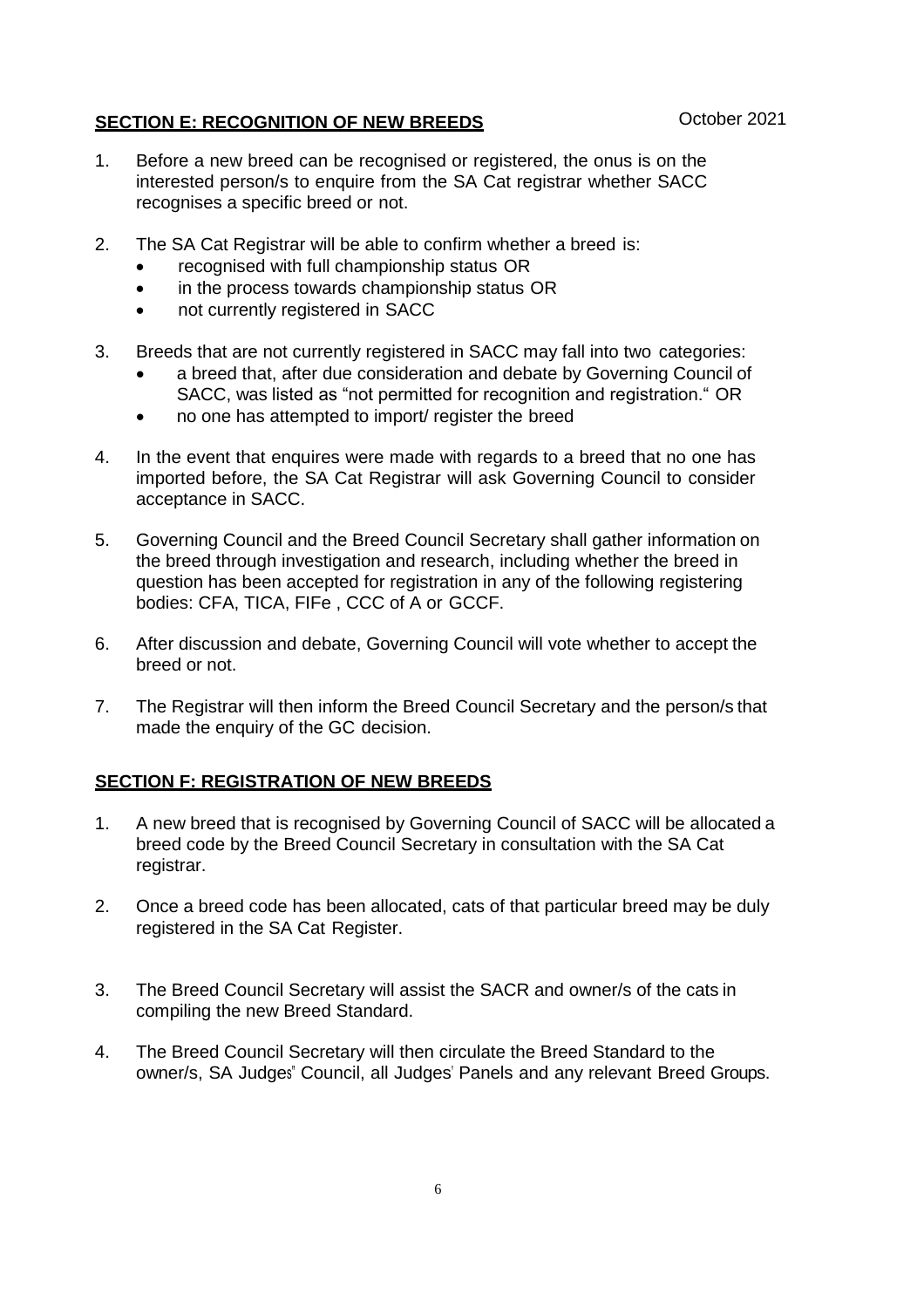## **SECTION E: RECOGNITION OF NEW BREEDS** October 2021

- 1. Before a new breed can be recognised or registered, the onus is on the interested person/s to enquire from the SA Cat registrar whether SACC recognises a specific breed or not.
- 2. The SA Cat Registrar will be able to confirm whether a breed is:
	- recognised with full championship status OR
	- in the process towards championship status OR
	- not currently registered in SACC
- 3. Breeds that are not currently registered in SACC may fall into two categories:
	- a breed that, after due consideration and debate by Governing Council of SACC, was listed as "not permitted for recognition and registration." OR
	- no one has attempted to import/ register the breed
- 4. In the event that enquires were made with regards to a breed that no one has imported before, the SA Cat Registrar will ask Governing Council to consider acceptance in SACC.
- 5. Governing Council and the Breed Council Secretary shall gather information on the breed through investigation and research, including whether the breed in question has been accepted for registration in any of the following registering bodies: CFA, TICA, FIFe , CCC of A or GCCF.
- 6. After discussion and debate, Governing Council will vote whether to accept the breed or not.
- 7. The Registrar will then inform the Breed Council Secretary and the person/s that made the enquiry of the GC decision.

## **SECTION F: REGISTRATION OF NEW BREEDS**

- 1. A new breed that is recognised by Governing Council of SACC will be allocated a breed code by the Breed Council Secretary in consultation with the SA Cat registrar.
- 2. Once a breed code has been allocated, cats of that particular breed may be duly registered in the SA Cat Register.
- 3. The Breed Council Secretary will assist the SACR and owner/s of the cats in compiling the new Breed Standard.
- 4. The Breed Council Secretary will then circulate the Breed Standard to the owner/s, SA Judges" Council, all Judges" Panels and any relevant Breed Groups.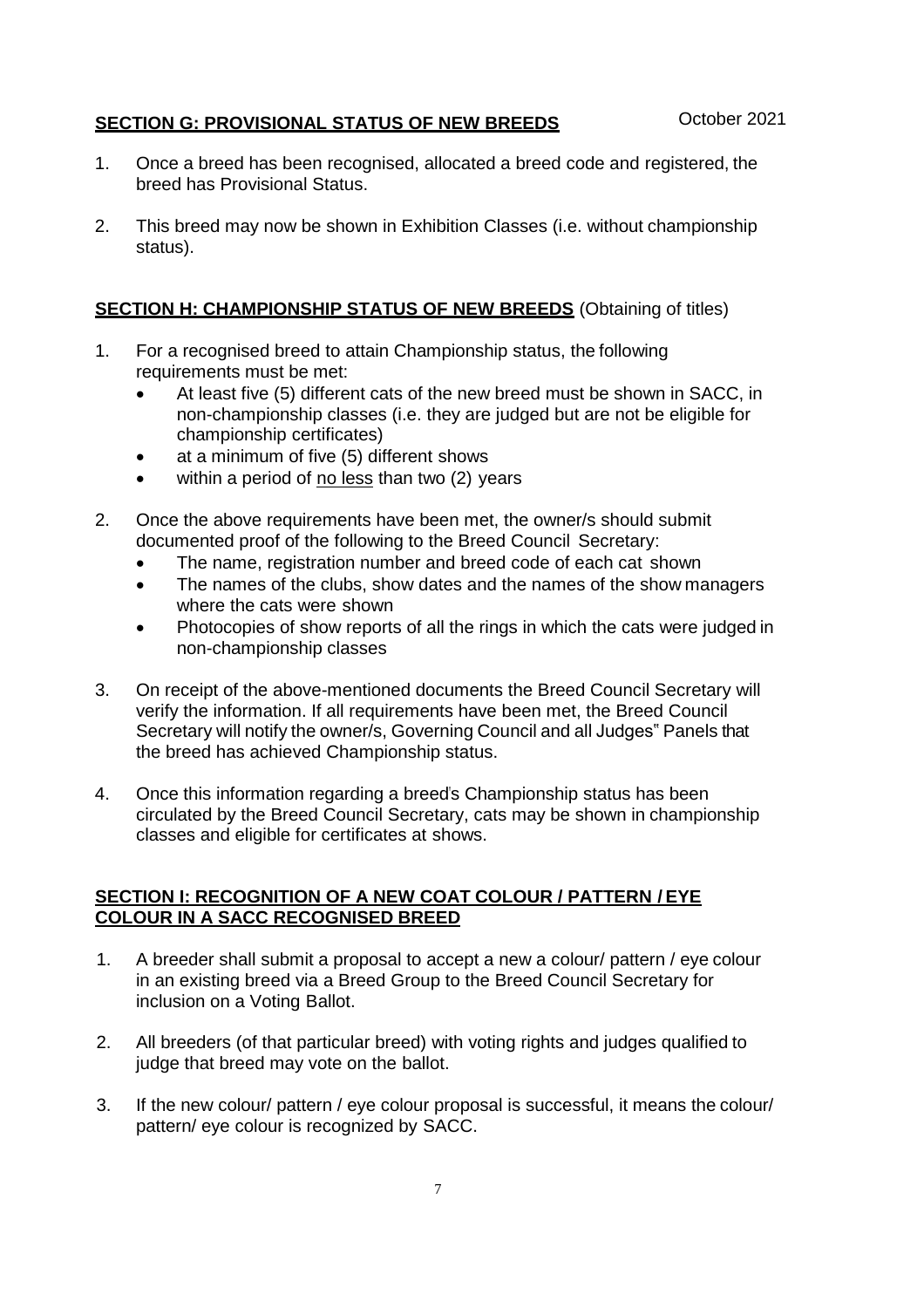## **SECTION G: PROVISIONAL STATUS OF NEW BREEDS** October 2021

- 1. Once a breed has been recognised, allocated a breed code and registered, the breed has Provisional Status.
- 2. This breed may now be shown in Exhibition Classes (i.e. without championship status).

#### **SECTION H: CHAMPIONSHIP STATUS OF NEW BREEDS** (Obtaining of titles)

- 1. For a recognised breed to attain Championship status, the following requirements must be met:
	- At least five (5) different cats of the new breed must be shown in SACC, in non-championship classes (i.e. they are judged but are not be eligible for championship certificates)
	- at a minimum of five (5) different shows
	- within a period of no less than two (2) years
- 2. Once the above requirements have been met, the owner/s should submit documented proof of the following to the Breed Council Secretary:
	- The name, registration number and breed code of each cat shown
	- The names of the clubs, show dates and the names of the show managers where the cats were shown
	- Photocopies of show reports of all the rings in which the cats were judged in non-championship classes
- 3. On receipt of the above-mentioned documents the Breed Council Secretary will verify the information. If all requirements have been met, the Breed Council Secretary will notify the owner/s, Governing Council and all Judges" Panels that the breed has achieved Championship status.
- 4. Once this information regarding a breed"s Championship status has been circulated by the Breed Council Secretary, cats may be shown in championship classes and eligible for certificates at shows.

#### **SECTION I: RECOGNITION OF A NEW COAT COLOUR / PATTERN / EYE COLOUR IN A SACC RECOGNISED BREED**

- 1. A breeder shall submit a proposal to accept a new a colour/ pattern / eye colour in an existing breed via a Breed Group to the Breed Council Secretary for inclusion on a Voting Ballot.
- 2. All breeders (of that particular breed) with voting rights and judges qualified to judge that breed may vote on the ballot.
- 3. If the new colour/ pattern / eye colour proposal is successful, it means the colour/ pattern/ eye colour is recognized by SACC.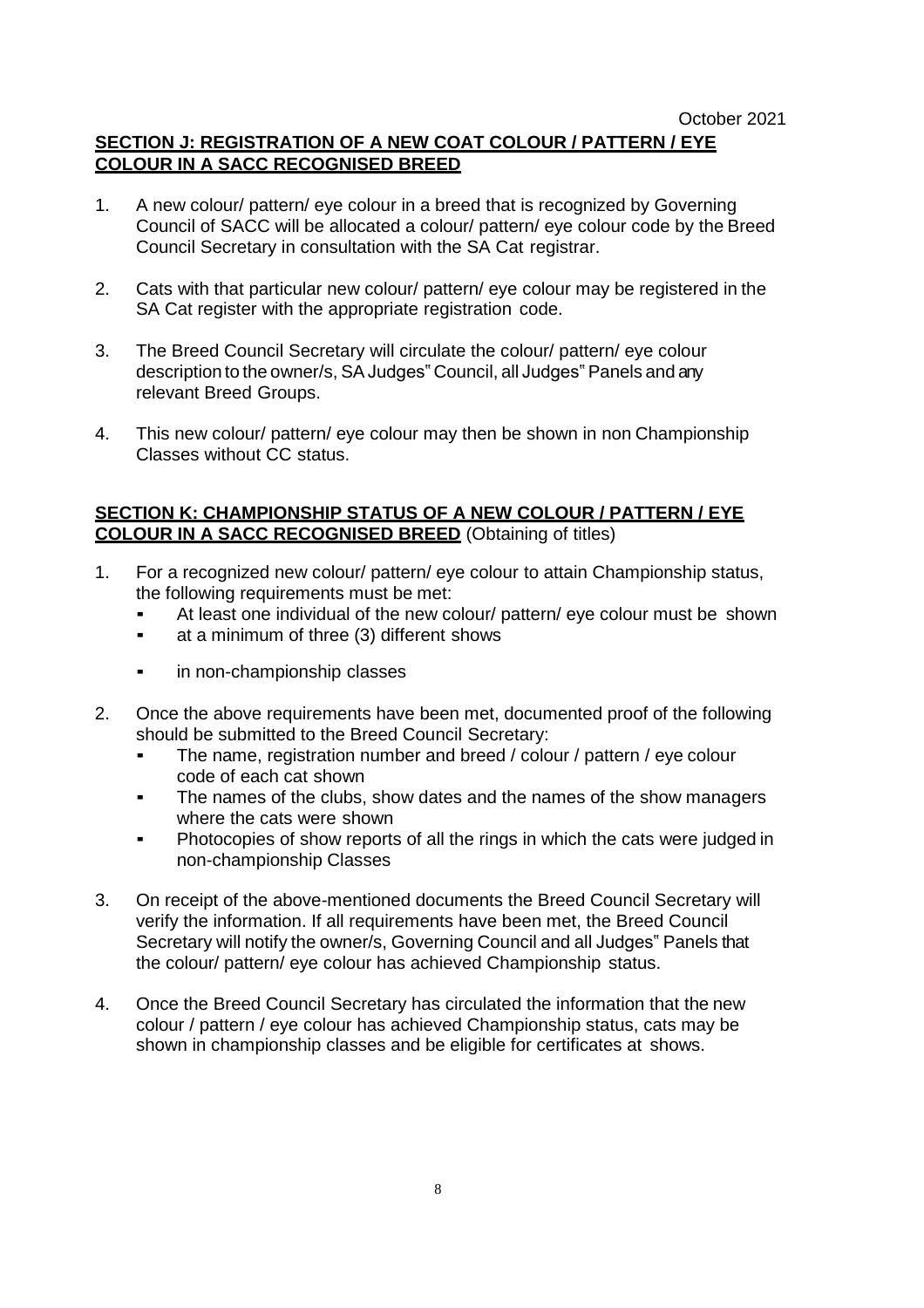# **SECTION J: REGISTRATION OF A NEW COAT COLOUR / PATTERN / EYE COLOUR IN A SACC RECOGNISED BREED**

- 1. A new colour/ pattern/ eye colour in a breed that is recognized by Governing Council of SACC will be allocated a colour/ pattern/ eye colour code by the Breed Council Secretary in consultation with the SA Cat registrar.
- 2. Cats with that particular new colour/ pattern/ eye colour may be registered in the SA Cat register with the appropriate registration code.
- 3. The Breed Council Secretary will circulate the colour/ pattern/ eye colour description to the owner/s, SAJudges" Council, all Judges" Panels and any relevant Breed Groups.
- 4. This new colour/ pattern/ eye colour may then be shown in non Championship Classes without CC status.

#### **SECTION K: CHAMPIONSHIP STATUS OF A NEW COLOUR / PATTERN / EYE COLOUR IN A SACC RECOGNISED BREED** (Obtaining of titles)

- 1. For a recognized new colour/ pattern/ eye colour to attain Championship status, the following requirements must be met:
	- At least one individual of the new colour/ pattern/ eye colour must be shown
	- at a minimum of three (3) different shows
	- **•** in non-championship classes
- 2. Once the above requirements have been met, documented proof of the following should be submitted to the Breed Council Secretary:
	- The name, registration number and breed / colour / pattern / eye colour code of each cat shown
	- The names of the clubs, show dates and the names of the show managers where the cats were shown
	- Photocopies of show reports of all the rings in which the cats were judged in non-championship Classes
- 3. On receipt of the above-mentioned documents the Breed Council Secretary will verify the information. If all requirements have been met, the Breed Council Secretary will notify the owner/s, Governing Council and all Judges" Panels that the colour/ pattern/ eye colour has achieved Championship status.
- 4. Once the Breed Council Secretary has circulated the information that the new colour / pattern / eye colour has achieved Championship status, cats may be shown in championship classes and be eligible for certificates at shows.